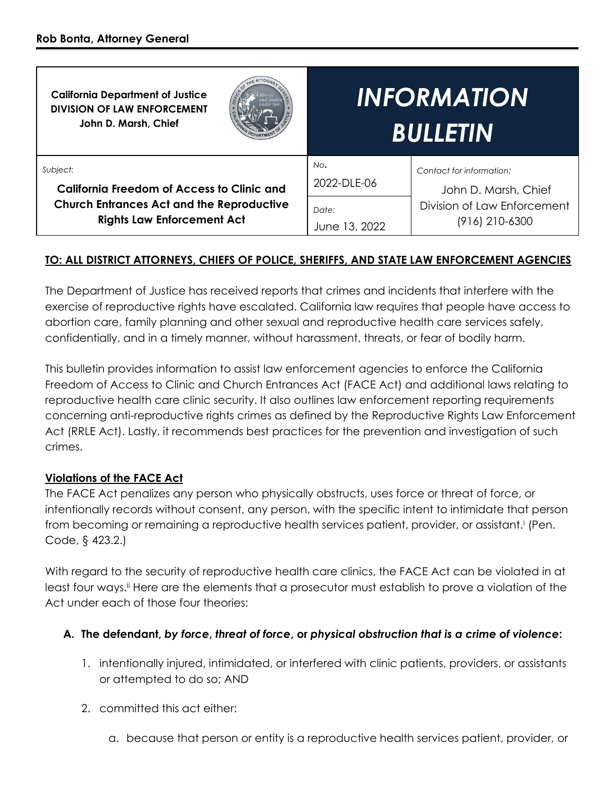| <b>California Department of Justice</b><br><b>DIVISION OF LAW ENFORCEMENT</b><br>John D. Marsh, Chief                                                  | <i><b>INFORMATION</b></i><br><b>BULLETIN</b>                                                                                                      |
|--------------------------------------------------------------------------------------------------------------------------------------------------------|---------------------------------------------------------------------------------------------------------------------------------------------------|
| Subject:<br><b>California Freedom of Access to Clinic and</b><br><b>Church Entrances Act and the Reproductive</b><br><b>Rights Law Enforcement Act</b> | No.<br>Contact for information:<br>2022-DLE-06<br>John D. Marsh, Chief<br>Division of Law Enforcement<br>Date:<br>(916) 210-6300<br>June 13, 2022 |

# **TO: ALL DISTRICT ATTORNEYS, CHIEFS OF POLICE, SHERIFFS, AND STATE LAW ENFORCEMENT AGENCIES**

The Department of Justice has received reports that crimes and incidents that interfere with the exercise of reproductive rights have escalated. California law requires that people have access to abortion care, family planning and other sexual and reproductive health care services safely, confidentially, and in a timely manner, without harassment, threats, or fear of bodily harm.

This bulletin provides information to assist law enforcement agencies to enforce the California Freedom of Access to Clinic and Church Entrances Act (FACE Act) and additional laws relating to reproductive health care clinic security. It also outlines law enforcement reporting requirements concerning anti-reproductive rights crimes as defined by the Reproductive Rights Law Enforcement Act (RRLE Act). Lastly, it recommends best practices for the prevention and investigation of such crimes.

#### **Violations of the FACE Act**

The FACE Act penalizes any person who physically obstructs, uses force or threat of force, or intentionally records without consent, any person, with the specific intent to intimidate that person from becoming or remaining a reproductive health services patient, provider, or assistant.<sup>i</sup> (Pen. Code, § 423.2.)

With regard to the security of reproductive health care clinics, the FACE Act can be violated in at least four ways.<sup>ii</sup> Here are the elements that a prosecutor must establish to prove a violation of the Act under each of those four theories:

#### **A. The defendant,** *by force***,** *threat of force***, or** *physical obstruction that is a crime of violence***:**

- 1. intentionally injured, intimidated, or interfered with clinic patients, providers, or assistants or attempted to do so; AND
- 2. committed this act either:
	- a. because that person or entity is a reproductive health services patient, provider, or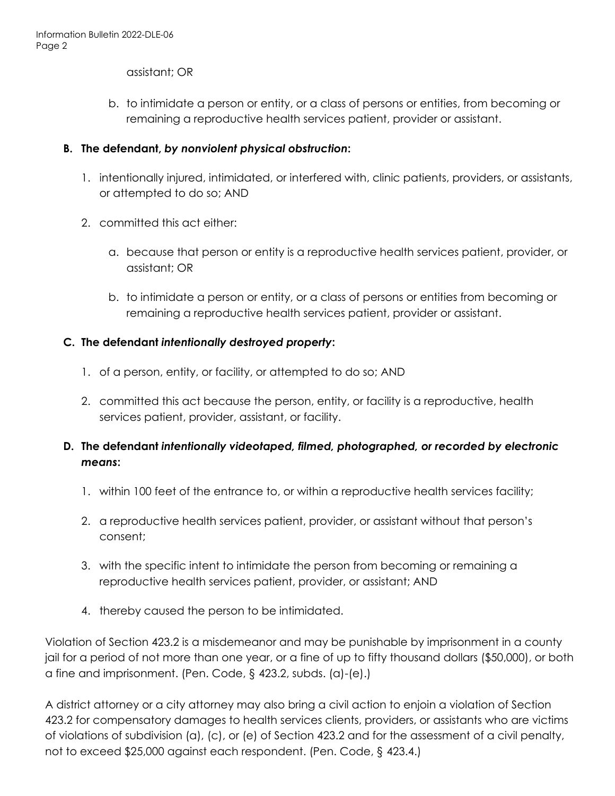assistant; OR

b. to intimidate a person or entity, or a class of persons or entities, from becoming or remaining a reproductive health services patient, provider or assistant.

#### **B. The defendant,** *by nonviolent physical obstruction***:**

- 1. intentionally injured, intimidated, or interfered with, clinic patients, providers, or assistants, or attempted to do so; AND
- 2. committed this act either:
	- a. because that person or entity is a reproductive health services patient, provider, or assistant; OR
	- b. to intimidate a person or entity, or a class of persons or entities from becoming or remaining a reproductive health services patient, provider or assistant.

#### **C. The defendant** *intentionally destroyed property***:**

- 1. of a person, entity, or facility, or attempted to do so; AND
- 2. committed this act because the person, entity, or facility is a reproductive, health services patient, provider, assistant, or facility.

# **D. The defendant** *intentionally videotaped, filmed, photographed, or recorded by electronic means***:**

- 1. within 100 feet of the entrance to, or within a reproductive health services facility;
- 2. a reproductive health services patient, provider, or assistant without that person's consent;
- 3. with the specific intent to intimidate the person from becoming or remaining a reproductive health services patient, provider, or assistant; AND
- 4. thereby caused the person to be intimidated.

Violation of Section 423.2 is a misdemeanor and may be punishable by imprisonment in a county jail for a period of not more than one year, or a fine of up to fifty thousand dollars (\$50,000), or both a fine and imprisonment. (Pen. Code, § 423.2, subds. (a)-(e).)

A district attorney or a city attorney may also bring a civil action to enjoin a violation of Section 423.2 for compensatory damages to health services clients, providers, or assistants who are victims of violations of subdivision (a), (c), or (e) of Section 423.2 and for the assessment of a civil penalty, not to exceed \$25,000 against each respondent. (Pen. Code, § 423.4.)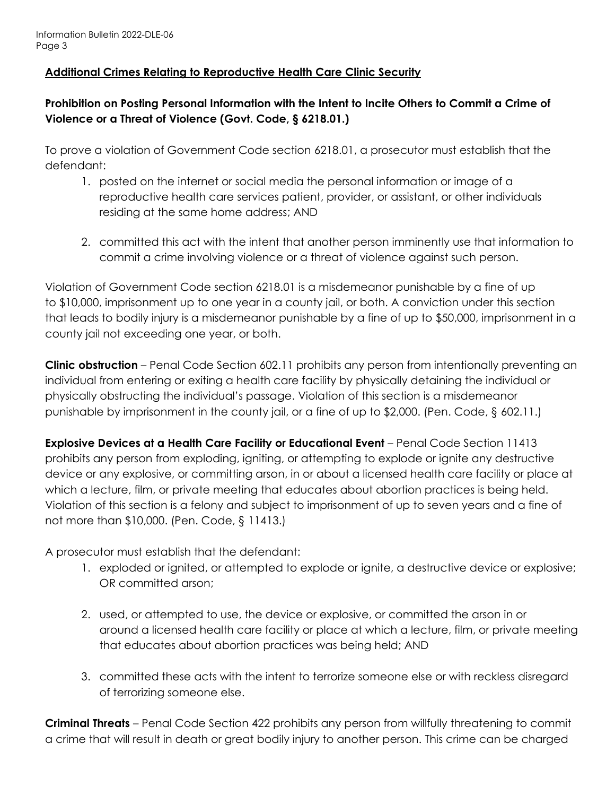#### **Additional Crimes Relating to Reproductive Health Care Clinic Security**

# **Prohibition on Posting Personal Information with the Intent to Incite Others to Commit a Crime of Violence or a Threat of Violence (Govt. Code, § 6218.01.)**

To prove a violation of Government Code section 6218.01, a prosecutor must establish that the defendant:

- 1. posted on the internet or social media the personal information or image of a reproductive health care services patient, provider, or assistant, or other individuals residing at the same home address; AND
- 2. committed this act with the intent that another person imminently use that information to commit a crime involving violence or a threat of violence against such person.

Violation of Government Code section 6218.01 is a misdemeanor punishable by a fine of up to \$10,000, imprisonment up to one year in a county jail, or both. A conviction under this section that leads to bodily injury is a misdemeanor punishable by a fine of up to \$50,000, imprisonment in a county jail not exceeding one year, or both.

**Clinic obstruction** – Penal Code Section 602.11 prohibits any person from intentionally preventing an individual from entering or exiting a health care facility by physically detaining the individual or physically obstructing the individual's passage. Violation of this section is a misdemeanor punishable by imprisonment in the county jail, or a fine of up to \$2,000. (Pen. Code, § 602.11.)

**Explosive Devices at a Health Care Facility or Educational Event** – Penal Code Section 11413 prohibits any person from exploding, igniting, or attempting to explode or ignite any destructive device or any explosive, or committing arson, in or about a licensed health care facility or place at which a lecture, film, or private meeting that educates about abortion practices is being held. Violation of this section is a felony and subject to imprisonment of up to seven years and a fine of not more than \$10,000. (Pen. Code, § 11413.)

A prosecutor must establish that the defendant:

- 1. exploded or ignited, or attempted to explode or ignite, a destructive device or explosive; OR committed arson;
- 2. used, or attempted to use, the device or explosive, or committed the arson in or around a licensed health care facility or place at which a lecture, film, or private meeting that educates about abortion practices was being held; AND
- 3. committed these acts with the intent to terrorize someone else or with reckless disregard of terrorizing someone else.

**Criminal Threats** – Penal Code Section 422 prohibits any person from willfully threatening to commit a crime that will result in death or great bodily injury to another person. This crime can be charged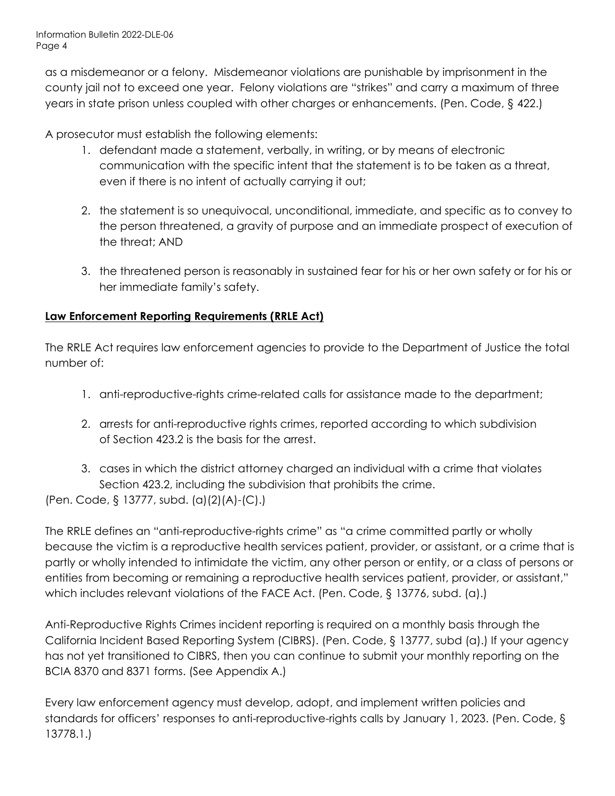as a misdemeanor or a felony. Misdemeanor violations are punishable by imprisonment in the county jail not to exceed one year. Felony violations are "strikes" and carry a maximum of three years in state prison unless coupled with other charges or enhancements. (Pen. Code, § 422.)

A prosecutor must establish the following elements:

- 1. defendant made a statement, verbally, in writing, or by means of electronic communication with the specific intent that the statement is to be taken as a threat, even if there is no intent of actually carrying it out;
- 2. the statement is so unequivocal, unconditional, immediate, and specific as to convey to the person threatened, a gravity of purpose and an immediate prospect of execution of the threat; AND
- 3. the threatened person is reasonably in sustained fear for his or her own safety or for his or her immediate family's safety.

# **Law Enforcement Reporting Requirements (RRLE Act)**

The RRLE Act requires law enforcement agencies to provide to the Department of Justice the total number of:

- 1. anti-reproductive-rights crime-related calls for assistance made to the department;
- 2. arrests for anti-reproductive rights crimes, reported according to which subdivision of Section 423.2 is the basis for the arrest.
- 3. cases in which the district attorney charged an individual with a crime that violates Section 423.2, including the subdivision that prohibits the crime.

(Pen. Code, § 13777, subd. (a)(2)(A)-(C).)

The RRLE defines an "anti-reproductive-rights crime" as "a crime committed partly or wholly because the victim is a reproductive health services patient, provider, or assistant, or a crime that is partly or wholly intended to intimidate the victim, any other person or entity, or a class of persons or entities from becoming or remaining a reproductive health services patient, provider, or assistant," which includes relevant violations of the FACE Act. (Pen. Code, § 13776, subd. (a).)

Anti-Reproductive Rights Crimes incident reporting is required on a monthly basis through the California Incident Based Reporting System (CIBRS). (Pen. Code, § 13777, subd (a).) If your agency has not yet transitioned to CIBRS, then you can continue to submit your monthly reporting on the BCIA 8370 and 8371 forms. (See Appendix A.)

Every law enforcement agency must develop, adopt, and implement written policies and standards for officers' responses to anti-reproductive-rights calls by January 1, 2023. (Pen. Code, § 13778.1.)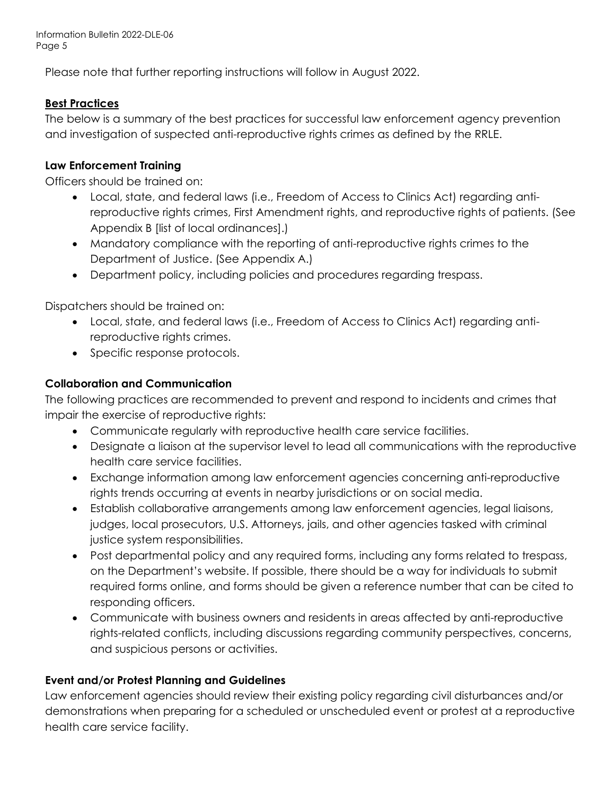Information Bulletin 2022-DLE-06 Page 5

Please note that further reporting instructions will follow in August 2022.

#### **Best Practices**

The below is a summary of the best practices for successful law enforcement agency prevention and investigation of suspected anti-reproductive rights crimes as defined by the RRLE.

#### **Law Enforcement Training**

Officers should be trained on:

- Local, state, and federal laws (i.e., Freedom of Access to Clinics Act) regarding antireproductive rights crimes, First Amendment rights, and reproductive rights of patients. (See Appendix B [list of local ordinances].)
- Mandatory compliance with the reporting of anti-reproductive rights crimes to the Department of Justice. (See Appendix A.)
- Department policy, including policies and procedures regarding trespass.

Dispatchers should be trained on:

- Local, state, and federal laws (i.e., Freedom of Access to Clinics Act) regarding antireproductive rights crimes.
- Specific response protocols.

#### **Collaboration and Communication**

The following practices are recommended to prevent and respond to incidents and crimes that impair the exercise of reproductive rights:

- Communicate regularly with reproductive health care service facilities.
- Designate a liaison at the supervisor level to lead all communications with the reproductive health care service facilities.
- Exchange information among law enforcement agencies concerning anti-reproductive rights trends occurring at events in nearby jurisdictions or on social media.
- Establish collaborative arrangements among law enforcement agencies, legal liaisons, judges, local prosecutors, U.S. Attorneys, jails, and other agencies tasked with criminal justice system responsibilities.
- Post departmental policy and any required forms, including any forms related to trespass, on the Department's website. If possible, there should be a way for individuals to submit required forms online, and forms should be given a reference number that can be cited to responding officers.
- Communicate with business owners and residents in areas affected by anti-reproductive rights-related conflicts, including discussions regarding community perspectives, concerns, and suspicious persons or activities.

# **Event and/or Protest Planning and Guidelines**

Law enforcement agencies should review their existing policy regarding civil disturbances and/or demonstrations when preparing for a scheduled or unscheduled event or protest at a reproductive health care service facility.